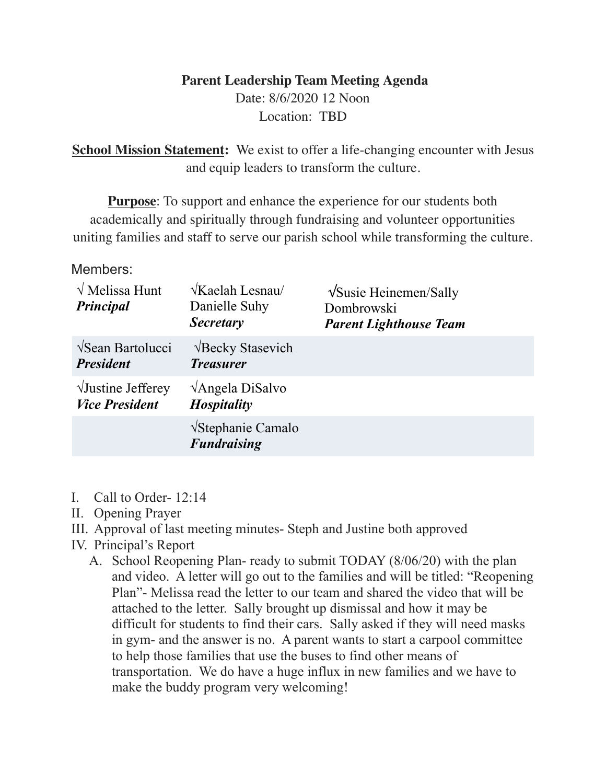# **Parent Leadership Team Meeting Agenda** Date: 8/6/2020 12 Noon

Location: TBD

**School Mission Statement:** We exist to offer a life-changing encounter with Jesus and equip leaders to transform the culture.

**Purpose**: To support and enhance the experience for our students both academically and spiritually through fundraising and volunteer opportunities uniting families and staff to serve our parish school while transforming the culture.

## Members:

| $\sqrt{\text{Melissa Hunt}}$<br><b>Principal</b>    | $\sqrt{K$ aelah Lesnau/<br>Danielle Suhy<br><b>Secretary</b> | $\sqrt{\text{S}$ usie Heinemen/Sally<br>Dombrowski<br><b>Parent Lighthouse Team</b> |
|-----------------------------------------------------|--------------------------------------------------------------|-------------------------------------------------------------------------------------|
| <b>VSean Bartolucci</b><br><b>President</b>         | <b>VBecky Stasevich</b><br><b>Treasurer</b>                  |                                                                                     |
| $\sqrt{J}$ ustine Jefferey<br><b>Vice President</b> | $\sqrt{\text{Angle}}$ la DiSalvo<br><b>Hospitality</b>       |                                                                                     |
|                                                     | $\sqrt{\text{Stephanic}}$ Camalo<br><b>Fundraising</b>       |                                                                                     |

- I. Call to Order- 12:14
- II. Opening Prayer
- III. Approval of last meeting minutes- Steph and Justine both approved
- IV. Principal's Report
	- A. School Reopening Plan- ready to submit TODAY (8/06/20) with the plan and video. A letter will go out to the families and will be titled: "Reopening Plan"- Melissa read the letter to our team and shared the video that will be attached to the letter. Sally brought up dismissal and how it may be difficult for students to find their cars. Sally asked if they will need masks in gym- and the answer is no. A parent wants to start a carpool committee to help those families that use the buses to find other means of transportation. We do have a huge influx in new families and we have to make the buddy program very welcoming!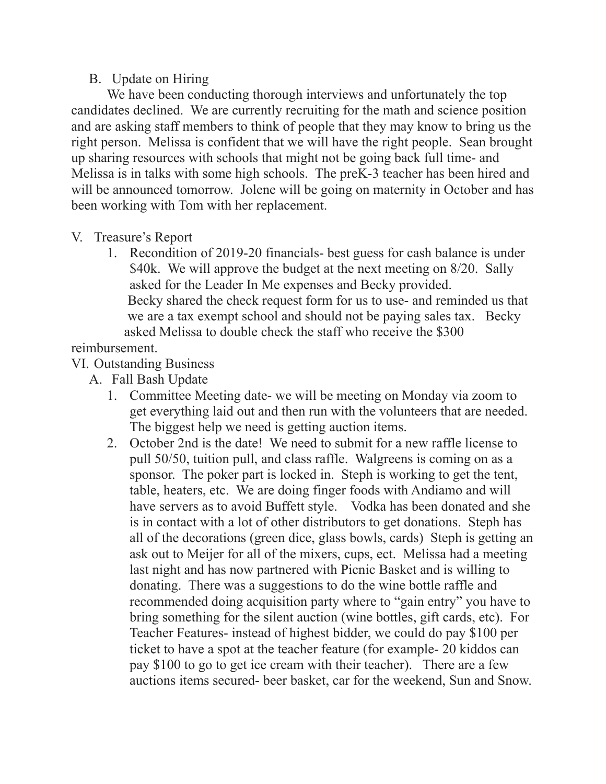## B. Update on Hiring

 We have been conducting thorough interviews and unfortunately the top candidates declined. We are currently recruiting for the math and science position and are asking staff members to think of people that they may know to bring us the right person. Melissa is confident that we will have the right people. Sean brought up sharing resources with schools that might not be going back full time- and Melissa is in talks with some high schools. The preK-3 teacher has been hired and will be announced tomorrow. Jolene will be going on maternity in October and has been working with Tom with her replacement.

#### V. Treasure's Report

1. Recondition of 2019-20 financials- best guess for cash balance is under \$40k. We will approve the budget at the next meeting on 8/20. Sally asked for the Leader In Me expenses and Becky provided. Becky shared the check request form for us to use- and reminded us that we are a tax exempt school and should not be paying sales tax. Becky asked Melissa to double check the staff who receive the \$300

## reimbursement.

## VI. Outstanding Business

- A. Fall Bash Update
	- 1. Committee Meeting date- we will be meeting on Monday via zoom to get everything laid out and then run with the volunteers that are needed. The biggest help we need is getting auction items.
	- 2. October 2nd is the date! We need to submit for a new raffle license to pull 50/50, tuition pull, and class raffle. Walgreens is coming on as a sponsor. The poker part is locked in. Steph is working to get the tent, table, heaters, etc. We are doing finger foods with Andiamo and will have servers as to avoid Buffett style. Vodka has been donated and she is in contact with a lot of other distributors to get donations. Steph has all of the decorations (green dice, glass bowls, cards) Steph is getting an ask out to Meijer for all of the mixers, cups, ect. Melissa had a meeting last night and has now partnered with Picnic Basket and is willing to donating. There was a suggestions to do the wine bottle raffle and recommended doing acquisition party where to "gain entry" you have to bring something for the silent auction (wine bottles, gift cards, etc). For Teacher Features- instead of highest bidder, we could do pay \$100 per ticket to have a spot at the teacher feature (for example- 20 kiddos can pay \$100 to go to get ice cream with their teacher). There are a few auctions items secured- beer basket, car for the weekend, Sun and Snow.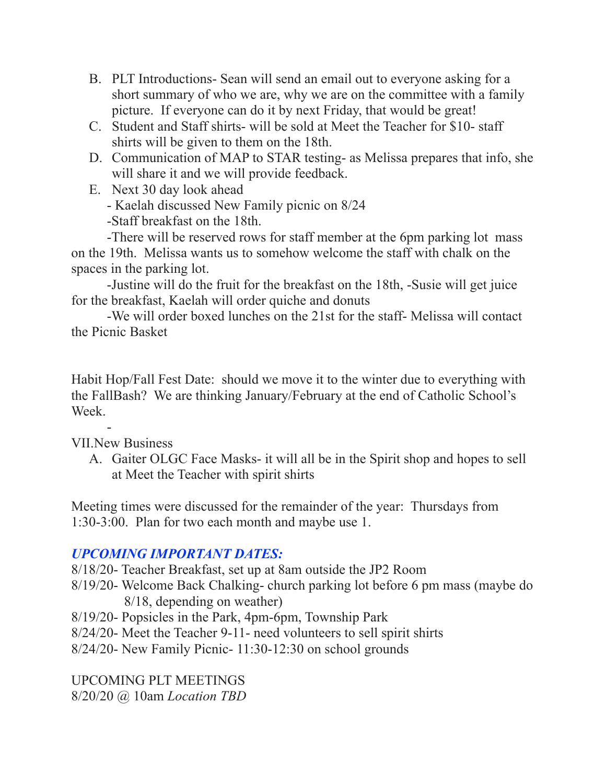- B. PLT Introductions- Sean will send an email out to everyone asking for a short summary of who we are, why we are on the committee with a family picture. If everyone can do it by next Friday, that would be great!
- C. Student and Staff shirts- will be sold at Meet the Teacher for \$10- staff shirts will be given to them on the 18th.
- D. Communication of MAP to STAR testing- as Melissa prepares that info, she will share it and we will provide feedback.
- E. Next 30 day look ahead
	- Kaelah discussed New Family picnic on 8/24

-Staff breakfast on the 18th.

 -There will be reserved rows for staff member at the 6pm parking lot mass on the 19th. Melissa wants us to somehow welcome the staff with chalk on the spaces in the parking lot.

 -Justine will do the fruit for the breakfast on the 18th, -Susie will get juice for the breakfast, Kaelah will order quiche and donuts

 -We will order boxed lunches on the 21st for the staff- Melissa will contact the Picnic Basket

Habit Hop/Fall Fest Date: should we move it to the winter due to everything with the FallBash? We are thinking January/February at the end of Catholic School's Week.

 $\sim$  -  $\sim$ VII.New Business

A. Gaiter OLGC Face Masks- it will all be in the Spirit shop and hopes to sell at Meet the Teacher with spirit shirts

Meeting times were discussed for the remainder of the year: Thursdays from 1:30-3:00. Plan for two each month and maybe use 1.

# *UPCOMING IMPORTANT DATES:*

8/18/20- Teacher Breakfast, set up at 8am outside the JP2 Room

- 8/19/20- Welcome Back Chalking- church parking lot before 6 pm mass (maybe do 8/18, depending on weather)
- 8/19/20- Popsicles in the Park, 4pm-6pm, Township Park
- 8/24/20- Meet the Teacher 9-11- need volunteers to sell spirit shirts
- 8/24/20- New Family Picnic- 11:30-12:30 on school grounds

UPCOMING PLT MEETINGS 8/20/20 @ 10am *Location TBD*